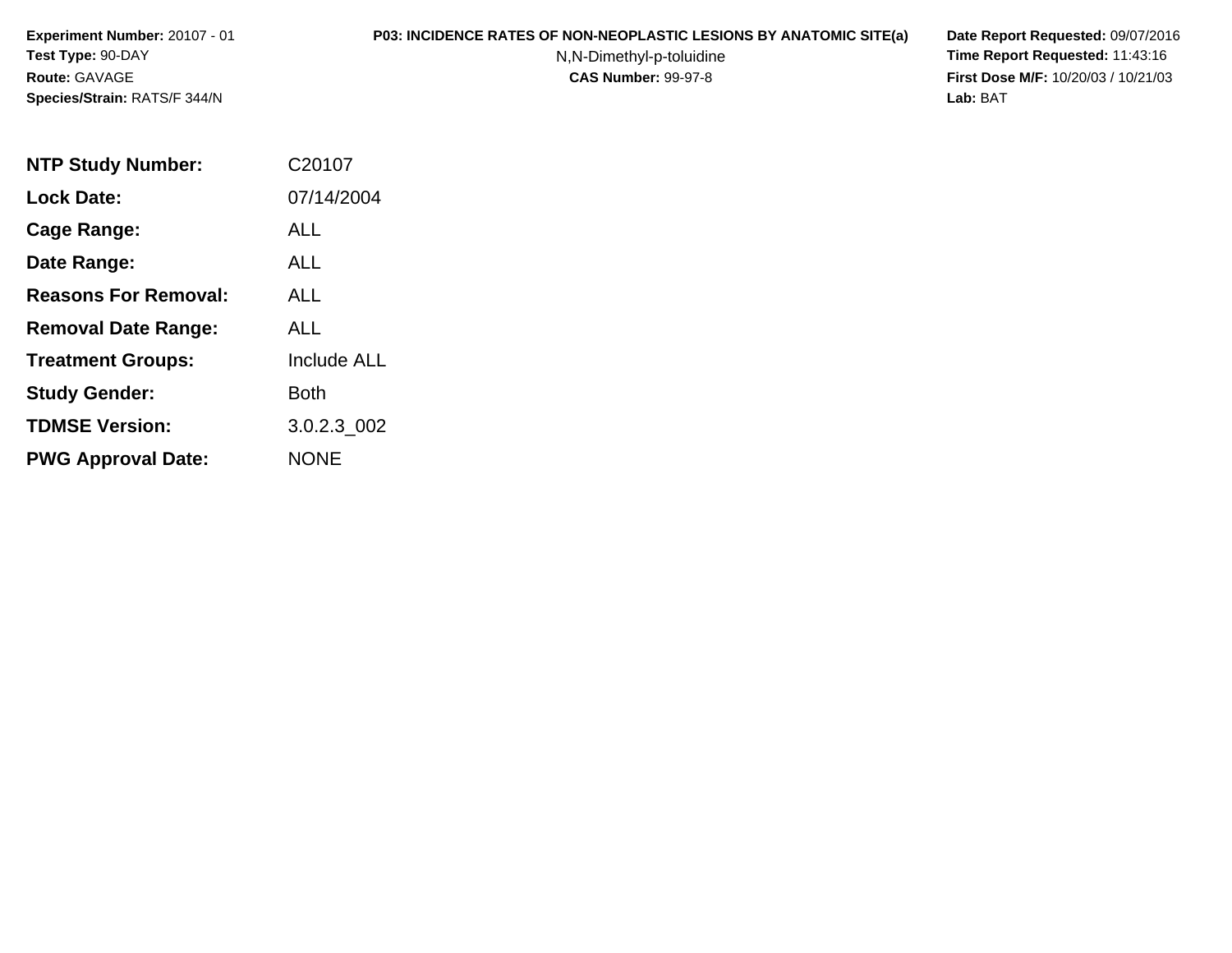**Experiment Number:** 20107 - 01**Test Type:** 90-DAY**Route:** GAVAGE**Species/Strain:** RATS/F 344/N

## **P03: INCIDENCE RATES OF NON-NEOPLASTIC LESIONS BY ANATOMIC SITE(a) Date Report Requested:** 09/07/2016

N,N-Dimethyl-p-toluidine

 **Time Report Requested:** 11:43:16 **First Dose M/F:** 10/20/03 / 10/21/03<br>**Lab:** BAT **Lab:** BAT

| <b>NTP Study Number:</b>    | C20107             |
|-----------------------------|--------------------|
| <b>Lock Date:</b>           | 07/14/2004         |
| Cage Range:                 | ALL                |
| Date Range:                 | ALL.               |
| <b>Reasons For Removal:</b> | ALL.               |
| <b>Removal Date Range:</b>  | ALL                |
| <b>Treatment Groups:</b>    | <b>Include ALL</b> |
| <b>Study Gender:</b>        | Both               |
| <b>TDMSE Version:</b>       | 3.0.2.3 002        |
| <b>PWG Approval Date:</b>   | <b>NONE</b>        |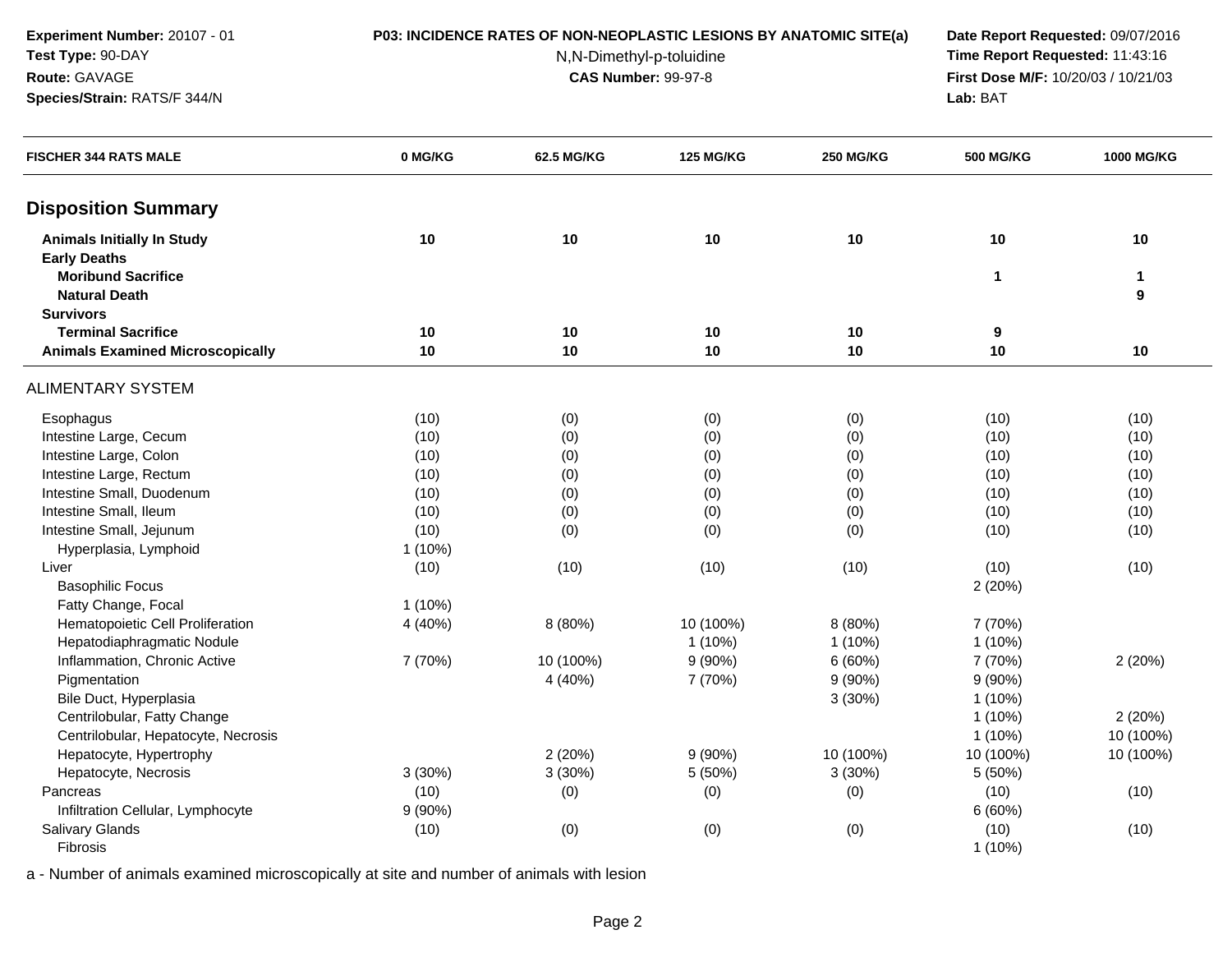**Experiment Number:** 20107 - 01**Test Type:** 90-DAY

**Species/Strain:** RATS/F 344/N

**Route:** GAVAGE

### **P03: INCIDENCE RATES OF NON-NEOPLASTIC LESIONS BY ANATOMIC SITE(a) Date Report Requested:** 09/07/2016

N,N-Dimethyl-p-toluidine

 **Time Report Requested:** 11:43:16 **First Dose M/F:** 10/20/03 / 10/21/03<br>**Lab:** BAT **Lab:** BAT

| <b>FISCHER 344 RATS MALE</b>            | 0 MG/KG   | 62.5 MG/KG | <b>125 MG/KG</b> | <b>250 MG/KG</b> | <b>500 MG/KG</b> | <b>1000 MG/KG</b> |
|-----------------------------------------|-----------|------------|------------------|------------------|------------------|-------------------|
| <b>Disposition Summary</b>              |           |            |                  |                  |                  |                   |
| <b>Animals Initially In Study</b>       | 10        | 10         | 10               | 10               | 10               | 10                |
| <b>Early Deaths</b>                     |           |            |                  |                  |                  |                   |
| <b>Moribund Sacrifice</b>               |           |            |                  |                  | 1                | 1                 |
| <b>Natural Death</b>                    |           |            |                  |                  |                  | 9                 |
| <b>Survivors</b>                        |           |            |                  |                  |                  |                   |
| <b>Terminal Sacrifice</b>               | 10        | 10         | 10               | 10               | 9                |                   |
| <b>Animals Examined Microscopically</b> | 10        | 10         | 10               | 10               | 10               | 10                |
| ALIMENTARY SYSTEM                       |           |            |                  |                  |                  |                   |
| Esophagus                               | (10)      | (0)        | (0)              | (0)              | (10)             | (10)              |
| Intestine Large, Cecum                  | (10)      | (0)        | (0)              | (0)              | (10)             | (10)              |
| Intestine Large, Colon                  | (10)      | (0)        | (0)              | (0)              | (10)             | (10)              |
| Intestine Large, Rectum                 | (10)      | (0)        | (0)              | (0)              | (10)             | (10)              |
| Intestine Small, Duodenum               | (10)      | (0)        | (0)              | (0)              | (10)             | (10)              |
| Intestine Small, Ileum                  | (10)      | (0)        | (0)              | (0)              | (10)             | (10)              |
| Intestine Small, Jejunum                | (10)      | (0)        | (0)              | (0)              | (10)             | (10)              |
| Hyperplasia, Lymphoid                   | $1(10\%)$ |            |                  |                  |                  |                   |
| Liver                                   | (10)      | (10)       | (10)             | (10)             | (10)             | (10)              |
| <b>Basophilic Focus</b>                 |           |            |                  |                  | 2(20%)           |                   |
| Fatty Change, Focal                     | $1(10\%)$ |            |                  |                  |                  |                   |
| Hematopoietic Cell Proliferation        | 4 (40%)   | 8 (80%)    | 10 (100%)        | 8 (80%)          | 7 (70%)          |                   |
| Hepatodiaphragmatic Nodule              |           |            | $1(10\%)$        | $1(10\%)$        | $1(10\%)$        |                   |
| Inflammation, Chronic Active            | 7 (70%)   | 10 (100%)  | $9(90\%)$        | 6(60%)           | 7 (70%)          | 2(20%)            |
| Pigmentation                            |           | 4 (40%)    | 7 (70%)          | $9(90\%)$        | $9(90\%)$        |                   |
| Bile Duct, Hyperplasia                  |           |            |                  | 3(30%)           | $1(10\%)$        |                   |
| Centrilobular, Fatty Change             |           |            |                  |                  | $1(10\%)$        | 2(20%)            |
| Centrilobular, Hepatocyte, Necrosis     |           |            |                  |                  | $1(10\%)$        | 10 (100%)         |
| Hepatocyte, Hypertrophy                 |           | 2(20%)     | $9(90\%)$        | 10 (100%)        | 10 (100%)        | 10 (100%)         |
| Hepatocyte, Necrosis                    | 3(30%)    | 3(30%)     | 5 (50%)          | 3(30%)           | 5(50%)           |                   |
| Pancreas                                | (10)      | (0)        | (0)              | (0)              | (10)             | (10)              |
| Infiltration Cellular, Lymphocyte       | 9(90%)    |            |                  |                  | 6(60%)           |                   |
| <b>Salivary Glands</b>                  | (10)      | (0)        | (0)              | (0)              | (10)             | (10)              |
| Fibrosis                                |           |            |                  |                  | 1 (10%)          |                   |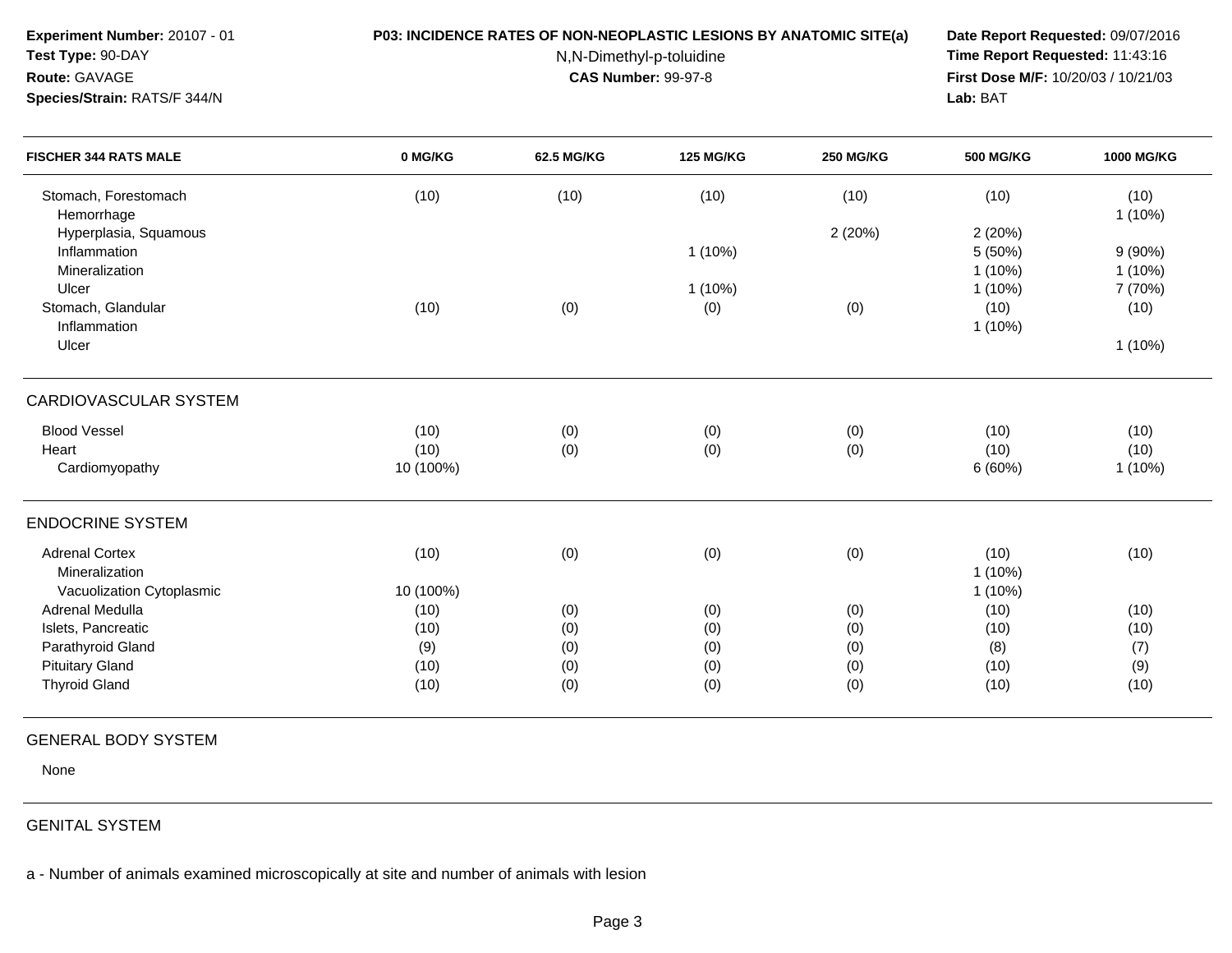| Experiment Number: 20107 - 01<br>Test Type: 90-DAY<br>Route: GAVAGE<br>Species/Strain: RATS/F 344/N | P03: INCIDENCE RATES OF NON-NEOPLASTIC LESIONS BY ANATOMIC SITE(a) | Date Report Requested: 09/07/2016<br>Time Report Requested: 11:43:16<br>First Dose M/F: 10/20/03 / 10/21/03<br>Lab: BAT |                  |                  |                                |                           |
|-----------------------------------------------------------------------------------------------------|--------------------------------------------------------------------|-------------------------------------------------------------------------------------------------------------------------|------------------|------------------|--------------------------------|---------------------------|
| <b>FISCHER 344 RATS MALE</b>                                                                        | 0 MG/KG                                                            | 62.5 MG/KG                                                                                                              | <b>125 MG/KG</b> | <b>250 MG/KG</b> | <b>500 MG/KG</b>               | 1000 MG/KG                |
| Stomach, Forestomach<br>Hemorrhage                                                                  | (10)                                                               | (10)                                                                                                                    | (10)             | (10)             | (10)                           | (10)<br>$1(10\%)$         |
| Hyperplasia, Squamous<br>Inflammation<br>Mineralization                                             |                                                                    |                                                                                                                         | $1(10\%)$        | 2(20%)           | 2(20%)<br>5 (50%)<br>$1(10\%)$ | 9(90%)<br>$1(10\%)$       |
| Ulcer<br>Stomach, Glandular<br>Inflammation                                                         | (10)                                                               | (0)                                                                                                                     | $1(10\%)$<br>(0) | (0)              | $1(10\%)$<br>(10)<br>$1(10\%)$ | 7 (70%)<br>(10)           |
| Ulcer                                                                                               |                                                                    |                                                                                                                         |                  |                  |                                | $1(10\%)$                 |
| <b>CARDIOVASCULAR SYSTEM</b>                                                                        |                                                                    |                                                                                                                         |                  |                  |                                |                           |
| <b>Blood Vessel</b><br>Heart<br>Cardiomyopathy                                                      | (10)<br>(10)<br>10 (100%)                                          | (0)<br>(0)                                                                                                              | (0)<br>(0)       | (0)<br>(0)       | (10)<br>(10)<br>6(60%)         | (10)<br>(10)<br>$1(10\%)$ |
| <b>ENDOCRINE SYSTEM</b>                                                                             |                                                                    |                                                                                                                         |                  |                  |                                |                           |
| <b>Adrenal Cortex</b><br>Mineralization<br>Vacuolization Cytoplasmic                                | (10)<br>10 (100%)                                                  | (0)                                                                                                                     | (0)              | (0)              | (10)<br>$1(10\%)$<br>$1(10\%)$ | (10)                      |
| Adrenal Medulla                                                                                     | (10)                                                               | (0)                                                                                                                     | (0)              | (0)              | (10)                           | (10)                      |
| Islets, Pancreatic                                                                                  | (10)                                                               | (0)                                                                                                                     | (0)              | (0)              | (10)                           | (10)                      |
| Parathyroid Gland                                                                                   | (9)                                                                | (0)                                                                                                                     | (0)              | (0)              | (8)                            | (7)                       |
| <b>Pituitary Gland</b>                                                                              | (10)                                                               | (0)                                                                                                                     | (0)              | (0)              | (10)                           | (9)                       |
| <b>Thyroid Gland</b>                                                                                | (10)                                                               | (0)                                                                                                                     | (0)              | (0)              | (10)                           | (10)                      |

# GENERAL BODY SYSTEM

None

# GENITAL SYSTEM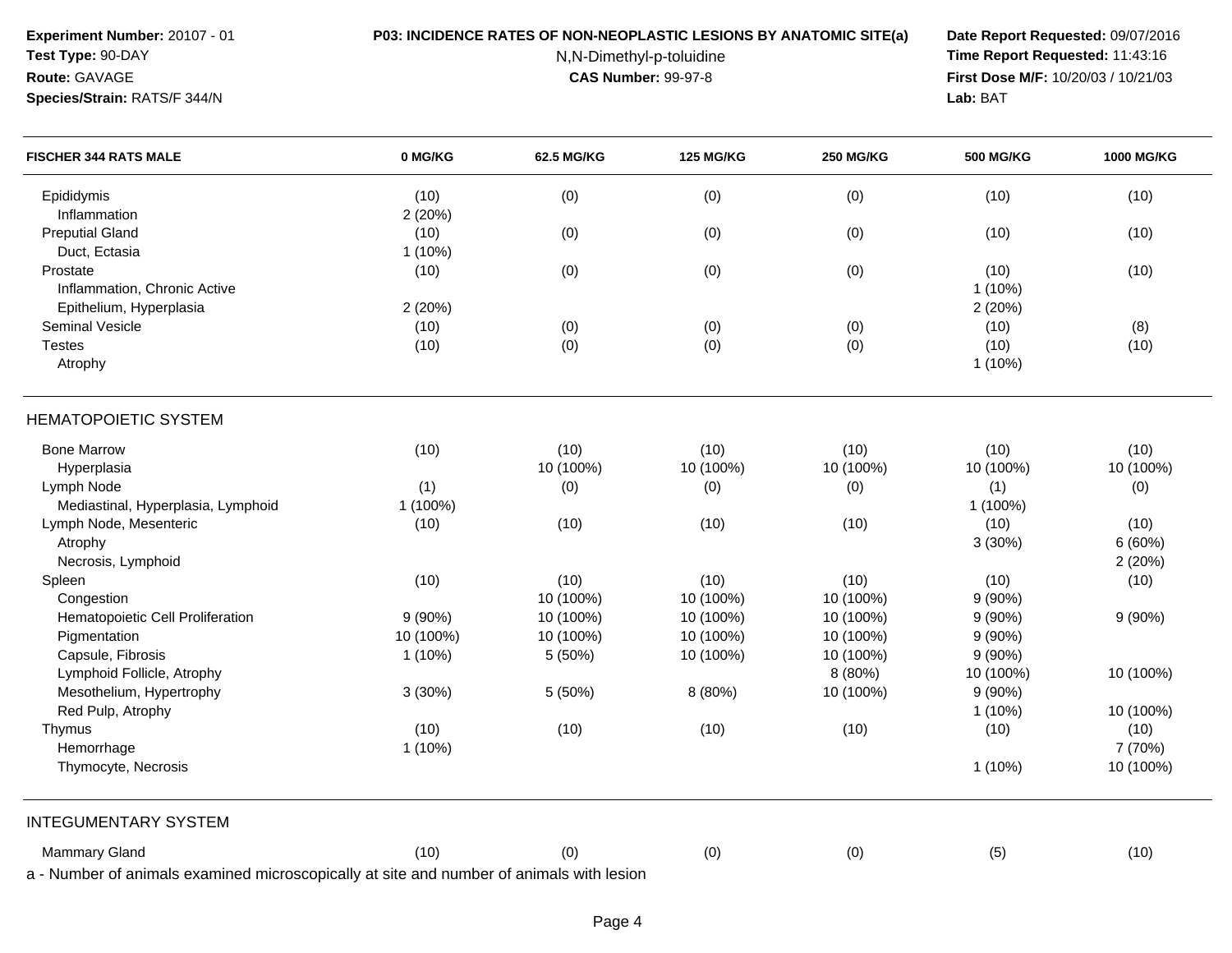**Experiment Number:** 20107 - 01

**Species/Strain:** RATS/F 344/N

## **Test Type:** 90-DAY**Route:** GAVAGE

# **P03: INCIDENCE RATES OF NON-NEOPLASTIC LESIONS BY ANATOMIC SITE(a) Date Report Requested:** 09/07/2016

N,N-Dimethyl-p-toluidine

 **Time Report Requested:** 11:43:16 **First Dose M/F:** 10/20/03 / 10/21/03<br>**Lab:** BAT **Lab:** BAT

| <b>FISCHER 344 RATS MALE</b>                                                             | 0 MG/KG   | 62.5 MG/KG | <b>125 MG/KG</b> | <b>250 MG/KG</b> | <b>500 MG/KG</b> | 1000 MG/KG |
|------------------------------------------------------------------------------------------|-----------|------------|------------------|------------------|------------------|------------|
| Epididymis                                                                               | (10)      | (0)        | (0)              | (0)              | (10)             | (10)       |
| Inflammation                                                                             | 2(20%)    |            |                  |                  |                  |            |
| <b>Preputial Gland</b>                                                                   | (10)      | (0)        | (0)              | (0)              | (10)             | (10)       |
| Duct, Ectasia                                                                            | $1(10\%)$ |            |                  |                  |                  |            |
| Prostate                                                                                 | (10)      | (0)        | (0)              | (0)              | (10)             | (10)       |
| Inflammation, Chronic Active                                                             |           |            |                  |                  | $1(10\%)$        |            |
| Epithelium, Hyperplasia                                                                  | 2(20%)    |            |                  |                  | 2(20%)           |            |
| <b>Seminal Vesicle</b>                                                                   | (10)      | (0)        | (0)              | (0)              | (10)             | (8)        |
| <b>Testes</b>                                                                            | (10)      | (0)        | (0)              | (0)              | (10)             | (10)       |
| Atrophy                                                                                  |           |            |                  |                  | $1(10\%)$        |            |
| <b>HEMATOPOIETIC SYSTEM</b>                                                              |           |            |                  |                  |                  |            |
| <b>Bone Marrow</b>                                                                       | (10)      | (10)       | (10)             | (10)             | (10)             | (10)       |
| Hyperplasia                                                                              |           | 10 (100%)  | 10 (100%)        | 10 (100%)        | 10 (100%)        | 10 (100%)  |
| Lymph Node                                                                               | (1)       | (0)        | (0)              | (0)              | (1)              | (0)        |
| Mediastinal, Hyperplasia, Lymphoid                                                       | 1 (100%)  |            |                  |                  | 1 (100%)         |            |
| Lymph Node, Mesenteric                                                                   | (10)      | (10)       | (10)             | (10)             | (10)             | (10)       |
| Atrophy                                                                                  |           |            |                  |                  | 3 (30%)          | 6(60%)     |
| Necrosis, Lymphoid                                                                       |           |            |                  |                  |                  | 2(20%)     |
| Spleen                                                                                   | (10)      | (10)       | (10)             | (10)             | (10)             | (10)       |
| Congestion                                                                               |           | 10 (100%)  | 10 (100%)        | 10 (100%)        | $9(90\%)$        |            |
| Hematopoietic Cell Proliferation                                                         | 9(90%)    | 10 (100%)  | 10 (100%)        | 10 (100%)        | $9(90\%)$        | $9(90\%)$  |
| Pigmentation                                                                             | 10 (100%) | 10 (100%)  | 10 (100%)        | 10 (100%)        | $9(90\%)$        |            |
| Capsule, Fibrosis                                                                        | $1(10\%)$ | 5(50%)     | 10 (100%)        | 10 (100%)        | $9(90\%)$        |            |
| Lymphoid Follicle, Atrophy                                                               |           |            |                  | 8 (80%)          | 10 (100%)        | 10 (100%)  |
| Mesothelium, Hypertrophy                                                                 | 3(30%)    | 5 (50%)    | 8 (80%)          | 10 (100%)        | $9(90\%)$        |            |
| Red Pulp, Atrophy                                                                        |           |            |                  |                  | $1(10\%)$        | 10 (100%)  |
| Thymus                                                                                   | (10)      | (10)       | (10)             | (10)             | (10)             | (10)       |
| Hemorrhage                                                                               | $1(10\%)$ |            |                  |                  |                  | 7 (70%)    |
| Thymocyte, Necrosis                                                                      |           |            |                  |                  | $1(10\%)$        | 10 (100%)  |
| <b>INTEGUMENTARY SYSTEM</b>                                                              |           |            |                  |                  |                  |            |
| Mammary Gland                                                                            | (10)      | (0)        | (0)              | (0)              | (5)              | (10)       |
| a - Number of animals examined microscopically at site and number of animals with lesion |           |            |                  |                  |                  |            |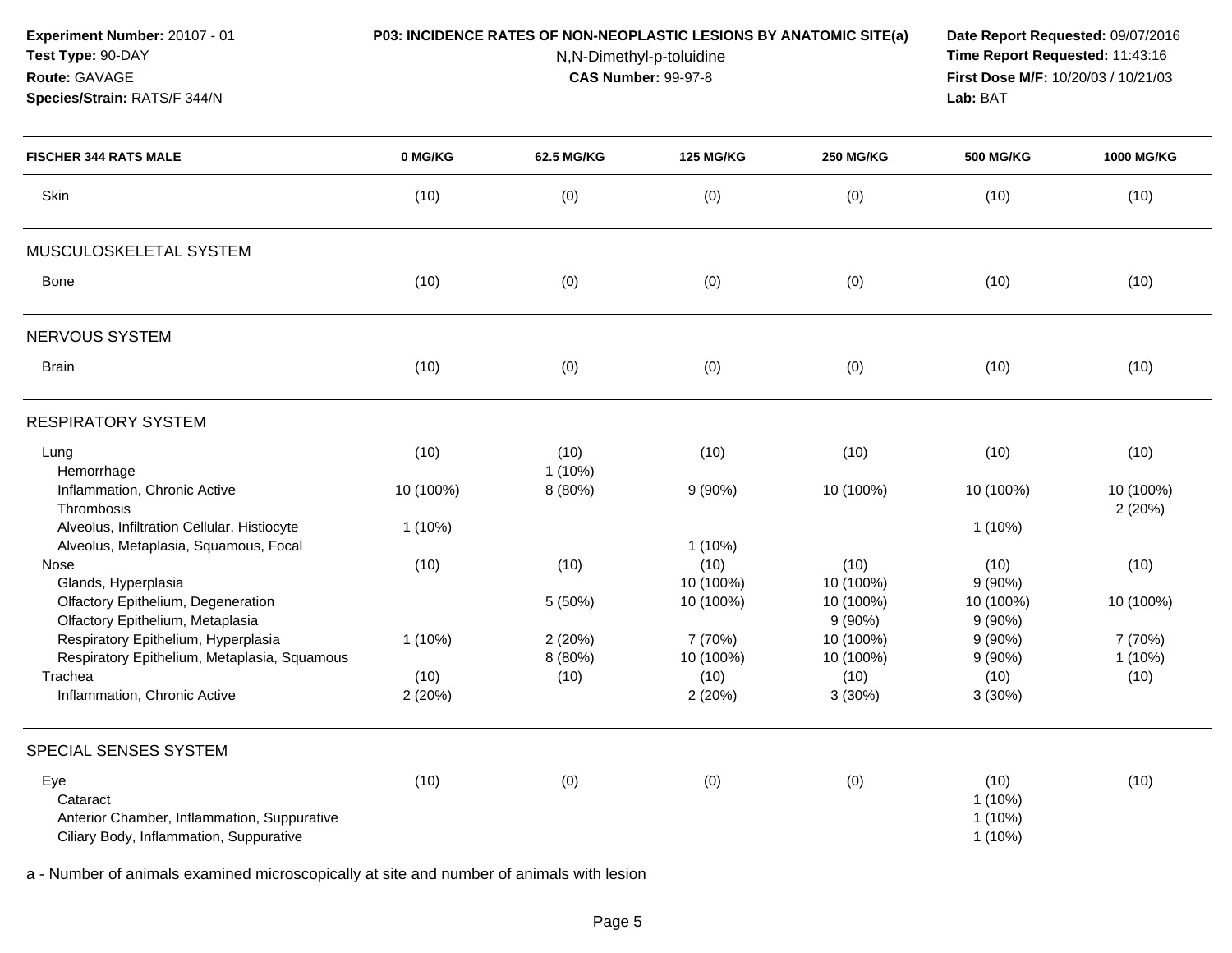| Experiment Number: 20107 - 01 |  |  |  |
|-------------------------------|--|--|--|
|-------------------------------|--|--|--|

# **Test Type:** 90-DAY

**Species/Strain:** RATS/F 344/N

**Route:** GAVAGE

### **P03: INCIDENCE RATES OF NON-NEOPLASTIC LESIONS BY ANATOMIC SITE(a) Date Report Requested:** 09/07/2016

N,N-Dimethyl-p-toluidine

 **Time Report Requested:** 11:43:16 **First Dose M/F:** 10/20/03 / 10/21/03<br>**Lab:** BAT **Lab:** BAT

| <b>FISCHER 344 RATS MALE</b>                                                                              | 0 MG/KG        | <b>62.5 MG/KG</b> | <b>125 MG/KG</b>     | <b>250 MG/KG</b>       | <b>500 MG/KG</b>                            | <b>1000 MG/KG</b>    |
|-----------------------------------------------------------------------------------------------------------|----------------|-------------------|----------------------|------------------------|---------------------------------------------|----------------------|
| Skin                                                                                                      | (10)           | (0)               | (0)                  | (0)                    | (10)                                        | (10)                 |
| MUSCULOSKELETAL SYSTEM                                                                                    |                |                   |                      |                        |                                             |                      |
| <b>Bone</b>                                                                                               | (10)           | (0)               | (0)                  | (0)                    | (10)                                        | (10)                 |
| NERVOUS SYSTEM                                                                                            |                |                   |                      |                        |                                             |                      |
| <b>Brain</b>                                                                                              | (10)           | (0)               | (0)                  | (0)                    | (10)                                        | (10)                 |
| <b>RESPIRATORY SYSTEM</b>                                                                                 |                |                   |                      |                        |                                             |                      |
| Lung<br>Hemorrhage                                                                                        | (10)           | (10)<br>$1(10\%)$ | (10)                 | (10)                   | (10)                                        | (10)                 |
| Inflammation, Chronic Active<br>Thrombosis                                                                | 10 (100%)      | 8 (80%)           | 9(90%)               | 10 (100%)              | 10 (100%)                                   | 10 (100%)<br>2(20%)  |
| Alveolus, Infiltration Cellular, Histiocyte<br>Alveolus, Metaplasia, Squamous, Focal                      | 1 (10%)        |                   | $1(10\%)$            |                        | $1(10\%)$                                   |                      |
| <b>Nose</b><br>Glands, Hyperplasia                                                                        | (10)           | (10)              | (10)<br>10 (100%)    | (10)<br>10 (100%)      | (10)<br>9(90%)                              | (10)                 |
| Olfactory Epithelium, Degeneration<br>Olfactory Epithelium, Metaplasia                                    |                | 5 (50%)           | 10 (100%)            | 10 (100%)<br>$9(90\%)$ | 10 (100%)<br>$9(90\%)$                      | 10 (100%)            |
| Respiratory Epithelium, Hyperplasia<br>Respiratory Epithelium, Metaplasia, Squamous                       | $1(10\%)$      | 2(20%)<br>8 (80%) | 7 (70%)<br>10 (100%) | 10 (100%)<br>10 (100%) | $9(90\%)$<br>$9(90\%)$                      | 7 (70%)<br>$1(10\%)$ |
| Trachea<br>Inflammation, Chronic Active                                                                   | (10)<br>2(20%) | (10)              | (10)<br>2 (20%)      | (10)<br>3(30%)         | (10)<br>3(30%)                              | (10)                 |
| SPECIAL SENSES SYSTEM                                                                                     |                |                   |                      |                        |                                             |                      |
| Eye<br>Cataract<br>Anterior Chamber, Inflammation, Suppurative<br>Ciliary Body, Inflammation, Suppurative | (10)           | (0)               | (0)                  | (0)                    | (10)<br>$1(10\%)$<br>$1(10\%)$<br>$1(10\%)$ | (10)                 |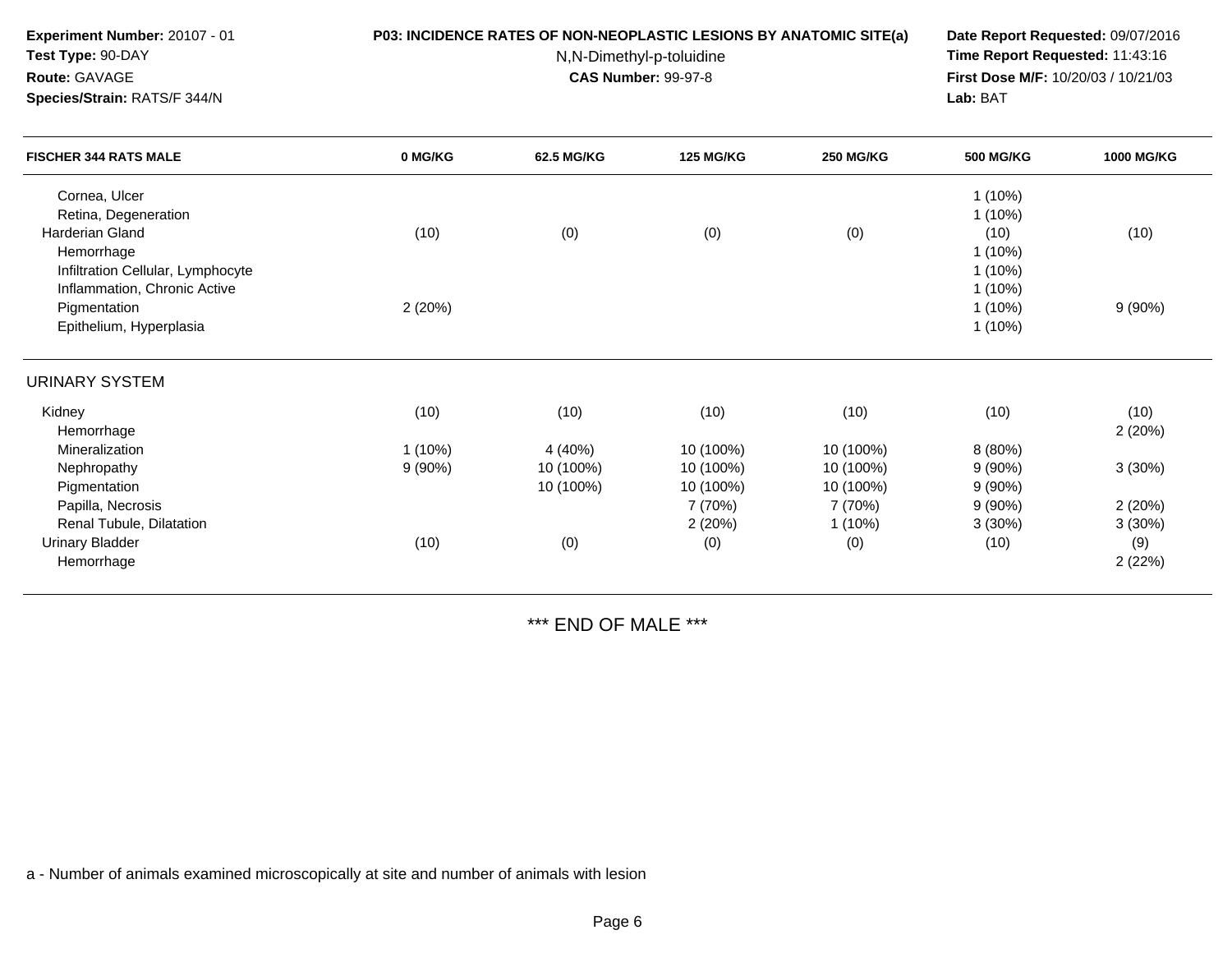| Test Type: 90-DAY<br>Route: GAVAGE                                                                        |                     |                                   | N,N-Dimethyl-p-toluidine<br><b>CAS Number: 99-97-8</b> |                                     | Time Report Requested: 11:43:16<br>First Dose M/F: 10/20/03 / 10/21/03 |                   |  |
|-----------------------------------------------------------------------------------------------------------|---------------------|-----------------------------------|--------------------------------------------------------|-------------------------------------|------------------------------------------------------------------------|-------------------|--|
| Species/Strain: RATS/F 344/N                                                                              |                     |                                   |                                                        | Lab: BAT                            |                                                                        |                   |  |
| <b>FISCHER 344 RATS MALE</b>                                                                              | 0 MG/KG             | 62.5 MG/KG                        | <b>125 MG/KG</b>                                       | <b>250 MG/KG</b>                    | <b>500 MG/KG</b>                                                       | <b>1000 MG/KG</b> |  |
| Cornea, Ulcer<br>Retina, Degeneration                                                                     |                     |                                   |                                                        |                                     | $1(10\%)$<br>1(10%)                                                    |                   |  |
| <b>Harderian Gland</b><br>Hemorrhage<br>Infiltration Cellular, Lymphocyte<br>Inflammation, Chronic Active | (10)                | (0)                               | (0)                                                    | (0)                                 | (10)<br>$1(10\%)$<br>$1(10\%)$<br>$1(10\%)$                            | (10)              |  |
| Pigmentation<br>Epithelium, Hyperplasia                                                                   | 2(20%)              |                                   |                                                        |                                     | 1(10%)<br>$1(10\%)$                                                    | 9(90%)            |  |
| <b>URINARY SYSTEM</b>                                                                                     |                     |                                   |                                                        |                                     |                                                                        |                   |  |
| Kidney<br>Hemorrhage                                                                                      | (10)                | (10)                              | (10)                                                   | (10)                                | (10)                                                                   | (10)<br>2(20%)    |  |
| Mineralization<br>Nephropathy<br>Pigmentation                                                             | $1(10\%)$<br>9(90%) | 4 (40%)<br>10 (100%)<br>10 (100%) | 10 (100%)<br>10 (100%)<br>10 (100%)                    | 10 (100%)<br>10 (100%)<br>10 (100%) | 8(80%)<br>9(90%)<br>9(90%)                                             | 3(30%)            |  |
| Papilla, Necrosis<br>Renal Tubule, Dilatation                                                             |                     |                                   | 7 (70%)<br>2(20%)                                      | 7 (70%)<br>$1(10\%)$                | 9(90%)<br>3(30%)                                                       | 2(20%)<br>3(30%)  |  |
| <b>Urinary Bladder</b><br>Hemorrhage                                                                      | (10)                | (0)                               | (0)                                                    | (0)                                 | (10)                                                                   | (9)<br>2(22%)     |  |

**P03: INCIDENCE RATES OF NON-NEOPLASTIC LESIONS BY ANATOMIC SITE(a) Date Report Requested:** 09/07/2016

\*\*\* END OF MALE \*\*\*

a - Number of animals examined microscopically at site and number of animals with lesion

**Experiment Number:** 20107 - 01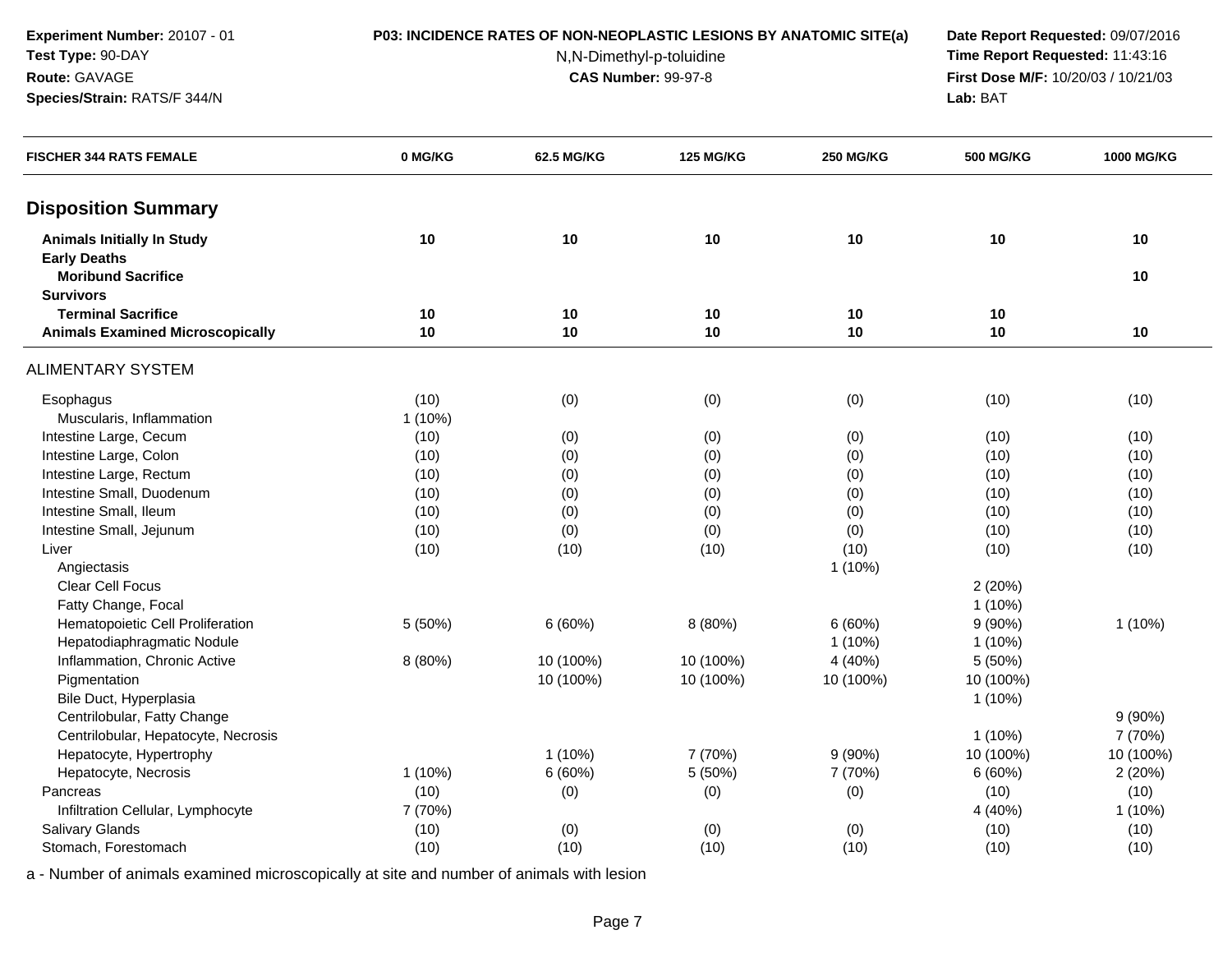**Experiment Number:** 20107 - 01**Test Type:** 90-DAY

**Species/Strain:** RATS/F 344/N

**Route:** GAVAGE

### **P03: INCIDENCE RATES OF NON-NEOPLASTIC LESIONS BY ANATOMIC SITE(a) Date Report Requested:** 09/07/2016

N,N-Dimethyl-p-toluidine

 **Time Report Requested:** 11:43:16 **First Dose M/F:** 10/20/03 / 10/21/03<br>**Lab:** BAT **Lab:** BAT

| <b>FISCHER 344 RATS FEMALE</b>                           | 0 MG/KG   | 62.5 MG/KG | <b>125 MG/KG</b> | <b>250 MG/KG</b> | <b>500 MG/KG</b> | 1000 MG/KG |
|----------------------------------------------------------|-----------|------------|------------------|------------------|------------------|------------|
| <b>Disposition Summary</b>                               |           |            |                  |                  |                  |            |
| <b>Animals Initially In Study</b><br><b>Early Deaths</b> | 10        | 10         | 10               | 10               | 10               | 10         |
| <b>Moribund Sacrifice</b><br><b>Survivors</b>            |           |            |                  |                  |                  | 10         |
| <b>Terminal Sacrifice</b>                                | 10        | 10         | 10               | 10               | 10               |            |
| <b>Animals Examined Microscopically</b>                  | 10        | 10         | 10               | 10               | 10               | 10         |
| <b>ALIMENTARY SYSTEM</b>                                 |           |            |                  |                  |                  |            |
| Esophagus                                                | (10)      | (0)        | (0)              | (0)              | (10)             | (10)       |
| Muscularis, Inflammation                                 | $1(10\%)$ |            |                  |                  |                  |            |
| Intestine Large, Cecum                                   | (10)      | (0)        | (0)              | (0)              | (10)             | (10)       |
| Intestine Large, Colon                                   | (10)      | (0)        | (0)              | (0)              | (10)             | (10)       |
| Intestine Large, Rectum                                  | (10)      | (0)        | (0)              | (0)              | (10)             | (10)       |
| Intestine Small, Duodenum                                | (10)      | (0)        | (0)              | (0)              | (10)             | (10)       |
| Intestine Small, Ileum                                   | (10)      | (0)        | (0)              | (0)              | (10)             | (10)       |
| Intestine Small, Jejunum                                 | (10)      | (0)        | (0)              | (0)              | (10)             | (10)       |
| Liver                                                    | (10)      | (10)       | (10)             | (10)             | (10)             | (10)       |
| Angiectasis                                              |           |            |                  | $1(10\%)$        |                  |            |
| <b>Clear Cell Focus</b>                                  |           |            |                  |                  | 2(20%)           |            |
| Fatty Change, Focal                                      |           |            |                  |                  | $1(10\%)$        |            |
| Hematopoietic Cell Proliferation                         | 5 (50%)   | 6(60%)     | 8 (80%)          | 6(60%)           | $9(90\%)$        | 1(10%)     |
| Hepatodiaphragmatic Nodule                               |           |            |                  | $1(10\%)$        | $1(10\%)$        |            |
| Inflammation, Chronic Active                             | 8 (80%)   | 10 (100%)  | 10 (100%)        | 4 (40%)          | 5 (50%)          |            |
| Pigmentation                                             |           | 10 (100%)  | 10 (100%)        | 10 (100%)        | 10 (100%)        |            |
| Bile Duct, Hyperplasia                                   |           |            |                  |                  | $1(10\%)$        |            |
| Centrilobular, Fatty Change                              |           |            |                  |                  |                  | 9(90%)     |
| Centrilobular, Hepatocyte, Necrosis                      |           |            |                  |                  | $1(10\%)$        | 7 (70%)    |
| Hepatocyte, Hypertrophy                                  |           | $1(10\%)$  | 7 (70%)          | $9(90\%)$        | 10 (100%)        | 10 (100%)  |
| Hepatocyte, Necrosis                                     | $1(10\%)$ | 6(60%)     | 5 (50%)          | 7 (70%)          | 6(60%)           | 2(20%)     |
| Pancreas                                                 | (10)      | (0)        | (0)              | (0)              | (10)             | (10)       |
| Infiltration Cellular, Lymphocyte                        | 7 (70%)   |            |                  |                  | 4 (40%)          | 1(10%)     |
| <b>Salivary Glands</b>                                   | (10)      | (0)        | (0)              | (0)              | (10)             | (10)       |
| Stomach, Forestomach                                     | (10)      | (10)       | (10)             | (10)             | (10)             | (10)       |
|                                                          |           |            |                  |                  |                  |            |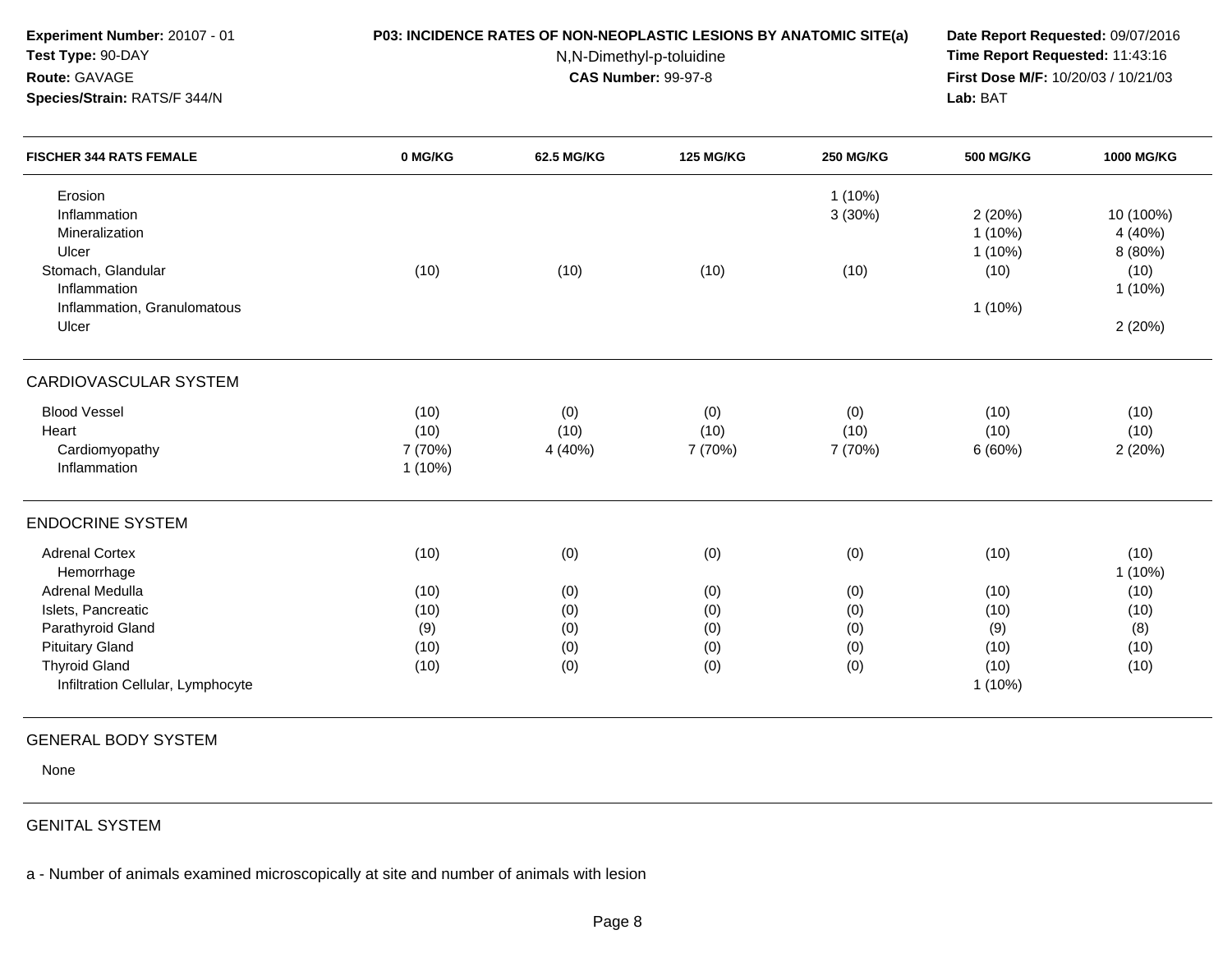|                                             | Date Report Requested: 09/07/2016<br>Time Report Requested: 11:43:16<br>First Dose M/F: 10/20/03 / 10/21/03<br>Lab: BAT |                                        |                                                        |                                                          |                                                                    |
|---------------------------------------------|-------------------------------------------------------------------------------------------------------------------------|----------------------------------------|--------------------------------------------------------|----------------------------------------------------------|--------------------------------------------------------------------|
| 0 MG/KG                                     | 62.5 MG/KG                                                                                                              | <b>125 MG/KG</b>                       | <b>250 MG/KG</b>                                       | <b>500 MG/KG</b>                                         | 1000 MG/KG                                                         |
|                                             |                                                                                                                         |                                        | $1(10\%)$<br>3(30%)                                    | 2(20%)<br>$1(10\%)$<br>$1(10\%)$                         | 10 (100%)<br>4 (40%)<br>8 (80%)                                    |
| (10)                                        | (10)                                                                                                                    | (10)                                   | (10)                                                   | (10)<br>$1(10\%)$                                        | (10)<br>1(10%)<br>2(20%)                                           |
|                                             |                                                                                                                         |                                        |                                                        |                                                          |                                                                    |
| (10)<br>(10)<br>7 (70%)<br>$1(10\%)$        | (0)<br>(10)<br>4 (40%)                                                                                                  | (0)<br>(10)<br>7 (70%)                 | (0)<br>(10)<br>7 (70%)                                 | (10)<br>(10)<br>6(60%)                                   | (10)<br>(10)<br>2(20%)                                             |
|                                             |                                                                                                                         |                                        |                                                        |                                                          |                                                                    |
| (10)<br>(10)<br>(10)<br>(9)<br>(10)<br>(10) | (0)<br>(0)<br>(0)<br>(0)<br>(0)<br>(0)                                                                                  | (0)<br>(0)<br>(0)<br>(0)<br>(0)<br>(0) | (0)<br>(0)<br>(0)<br>(0)<br>(0)<br>(0)                 | (10)<br>(10)<br>(10)<br>(9)<br>(10)<br>(10)<br>$1(10\%)$ | (10)<br>1 (10%)<br>(10)<br>(10)<br>(8)<br>(10)<br>(10)             |
|                                             |                                                                                                                         |                                        | N,N-Dimethyl-p-toluidine<br><b>CAS Number: 99-97-8</b> |                                                          | P03: INCIDENCE RATES OF NON-NEOPLASTIC LESIONS BY ANATOMIC SITE(a) |

# GENERAL BODY SYSTEM

None

## GENITAL SYSTEM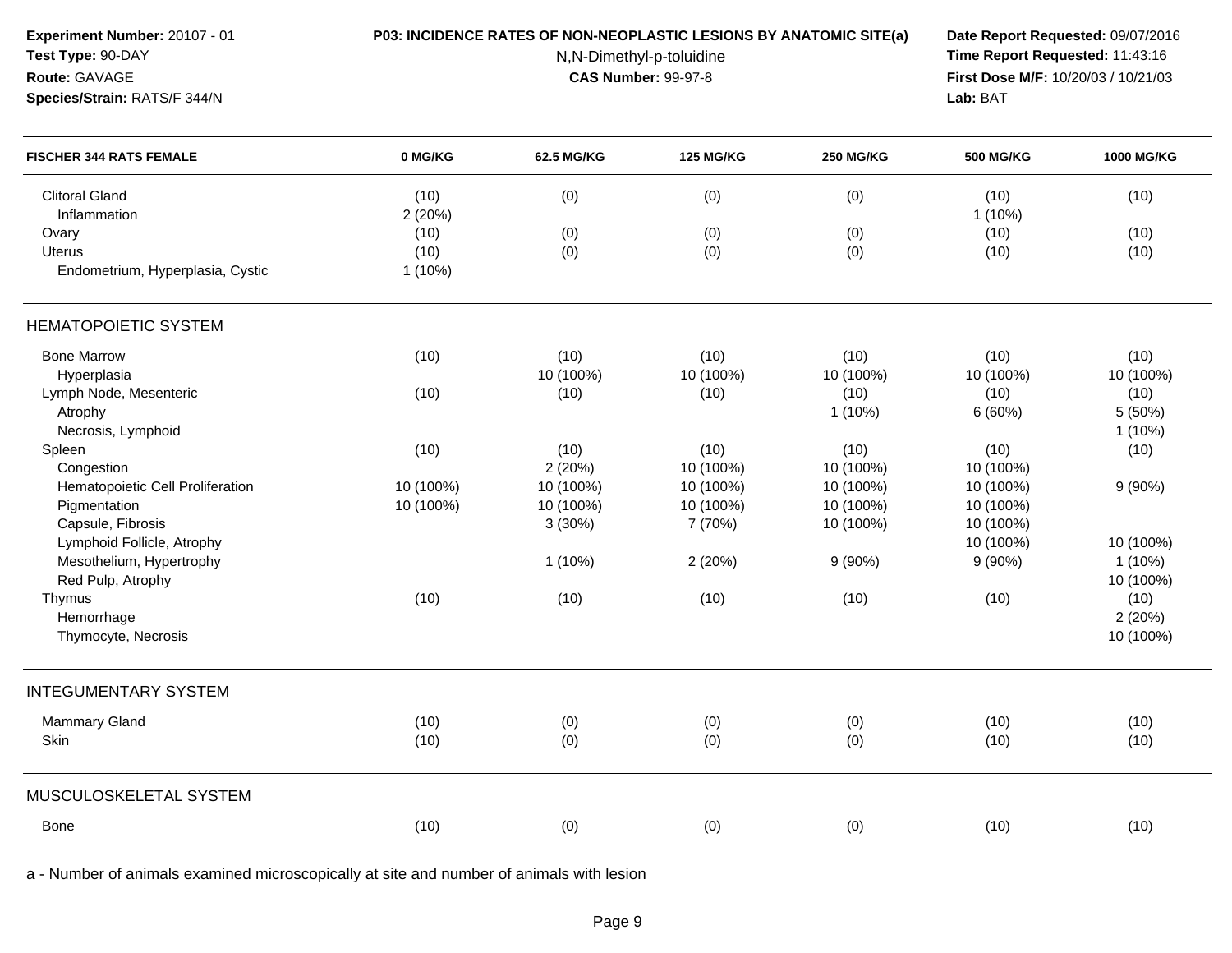| Experiment Number: 20107 - 01<br>Test Type: 90-DAY<br>Route: GAVAGE<br>Species/Strain: RATS/F 344/N | P03: INCIDENCE RATES OF NON-NEOPLASTIC LESIONS BY ANATOMIC SITE(a) | Date Report Requested: 09/07/2016<br>Time Report Requested: 11:43:16<br>First Dose M/F: 10/20/03 / 10/21/03<br>Lab: BAT |                  |                  |                   |            |
|-----------------------------------------------------------------------------------------------------|--------------------------------------------------------------------|-------------------------------------------------------------------------------------------------------------------------|------------------|------------------|-------------------|------------|
| <b>FISCHER 344 RATS FEMALE</b>                                                                      | 0 MG/KG                                                            | 62.5 MG/KG                                                                                                              | <b>125 MG/KG</b> | <b>250 MG/KG</b> | <b>500 MG/KG</b>  | 1000 MG/KG |
| <b>Clitoral Gland</b><br>Inflammation                                                               | (10)<br>2(20%)                                                     | (0)                                                                                                                     | (0)              | (0)              | (10)<br>$1(10\%)$ | (10)       |
| Ovary                                                                                               | (10)                                                               | (0)                                                                                                                     | (0)              | (0)              | (10)              | (10)       |
| <b>Uterus</b>                                                                                       | (10)                                                               | (0)                                                                                                                     | (0)              | (0)              | (10)              | (10)       |
| Endometrium, Hyperplasia, Cystic                                                                    | $1(10\%)$                                                          |                                                                                                                         |                  |                  |                   |            |
| <b>HEMATOPOIETIC SYSTEM</b>                                                                         |                                                                    |                                                                                                                         |                  |                  |                   |            |
| <b>Bone Marrow</b>                                                                                  | (10)                                                               | (10)                                                                                                                    | (10)             | (10)             | (10)              | (10)       |
| Hyperplasia                                                                                         |                                                                    | 10 (100%)                                                                                                               | 10 (100%)        | 10 (100%)        | 10 (100%)         | 10 (100%)  |
| Lymph Node, Mesenteric                                                                              | (10)                                                               | (10)                                                                                                                    | (10)             | (10)             | (10)              | (10)       |
| Atrophy                                                                                             |                                                                    |                                                                                                                         |                  | $1(10\%)$        | 6(60%)            | 5 (50%)    |
| Necrosis, Lymphoid                                                                                  |                                                                    |                                                                                                                         |                  |                  |                   | $1(10\%)$  |
| Spleen                                                                                              | (10)                                                               | (10)                                                                                                                    | (10)             | (10)             | (10)              | (10)       |
| Congestion                                                                                          |                                                                    | 2(20%)                                                                                                                  | 10 (100%)        | 10 (100%)        | 10 (100%)         |            |
| Hematopoietic Cell Proliferation                                                                    | 10 (100%)                                                          | 10 (100%)                                                                                                               | 10 (100%)        | 10 (100%)        | 10 (100%)         | 9(90%)     |
| Pigmentation                                                                                        | 10 (100%)                                                          | 10 (100%)                                                                                                               | 10 (100%)        | 10 (100%)        | 10 (100%)         |            |
| Capsule, Fibrosis                                                                                   |                                                                    | 3(30%)                                                                                                                  | 7 (70%)          | 10 (100%)        | 10 (100%)         |            |
| Lymphoid Follicle, Atrophy                                                                          |                                                                    |                                                                                                                         |                  |                  | 10 (100%)         | 10 (100%)  |
| Mesothelium, Hypertrophy                                                                            |                                                                    | $1(10\%)$                                                                                                               | 2(20%)           | $9(90\%)$        | $9(90\%)$         | $1(10\%)$  |
| Red Pulp, Atrophy                                                                                   |                                                                    |                                                                                                                         |                  |                  |                   | 10 (100%)  |
| Thymus                                                                                              | (10)                                                               | (10)                                                                                                                    | (10)             | (10)             | (10)              | (10)       |
| Hemorrhage                                                                                          |                                                                    |                                                                                                                         |                  |                  |                   | 2(20%)     |
| Thymocyte, Necrosis                                                                                 |                                                                    |                                                                                                                         |                  |                  |                   | 10 (100%)  |
| <b>INTEGUMENTARY SYSTEM</b>                                                                         |                                                                    |                                                                                                                         |                  |                  |                   |            |
| <b>Mammary Gland</b>                                                                                | (10)                                                               | (0)                                                                                                                     | (0)              | (0)              | (10)              | (10)       |
| Skin                                                                                                | (10)                                                               | (0)                                                                                                                     | (0)              | (0)              | (10)              | (10)       |
| MUSCULOSKELETAL SYSTEM                                                                              |                                                                    |                                                                                                                         |                  |                  |                   |            |
| Bone                                                                                                | (10)                                                               |                                                                                                                         |                  |                  | (10)              | (10)       |
|                                                                                                     |                                                                    | (0)                                                                                                                     | (0)              | (0)              |                   |            |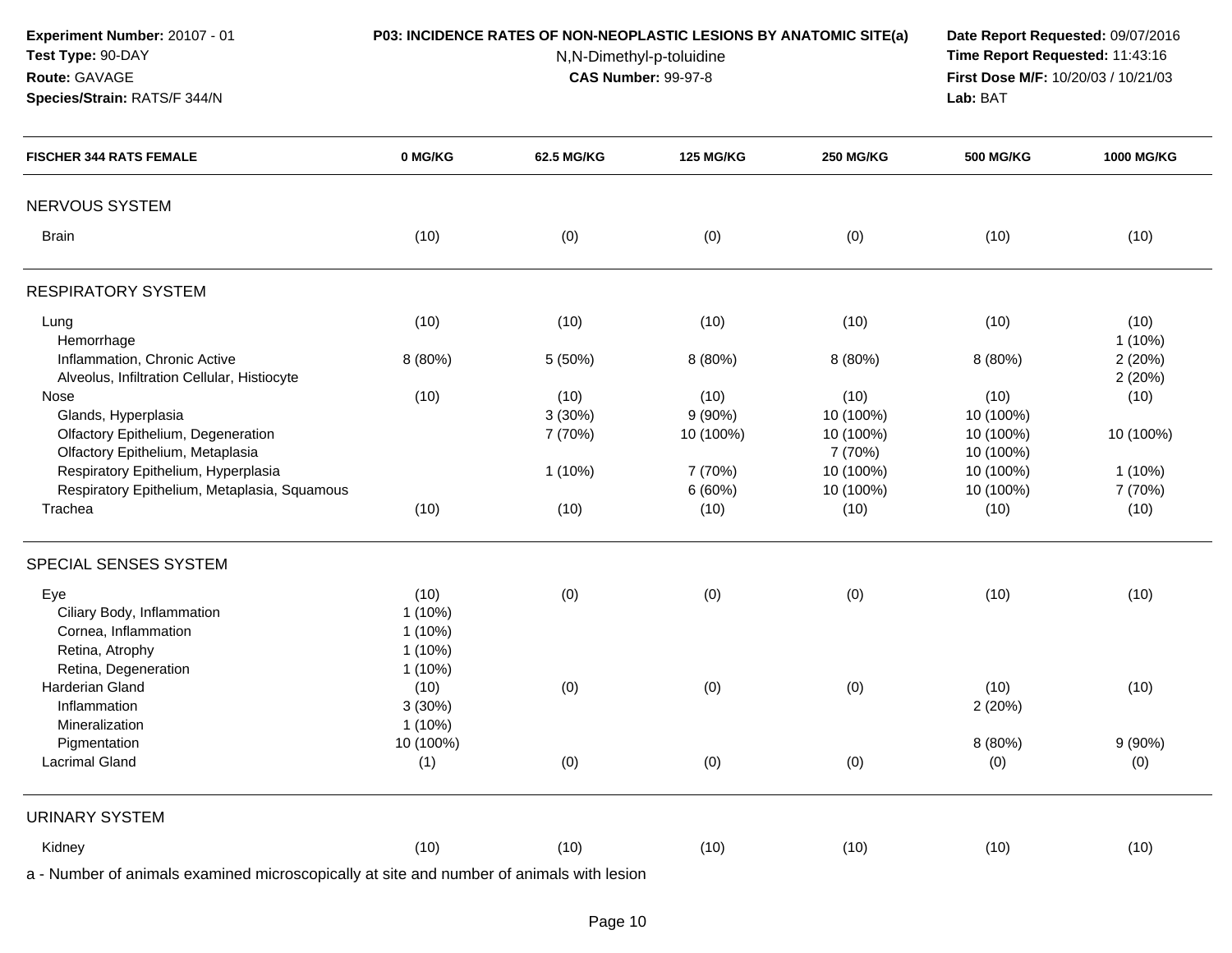| Experiment Number: 20107 - 01<br>Test Type: 90-DAY<br>Route: GAVAGE<br>Species/Strain: RATS/F 344/N |           | P03: INCIDENCE RATES OF NON-NEOPLASTIC LESIONS BY ANATOMIC SITE(a)<br>N,N-Dimethyl-p-toluidine<br><b>CAS Number: 99-97-8</b> | Date Report Requested: 09/07/2016<br>Time Report Requested: 11:43:16<br>First Dose M/F: 10/20/03 / 10/21/03<br>Lab: BAT |                   |                   |                   |
|-----------------------------------------------------------------------------------------------------|-----------|------------------------------------------------------------------------------------------------------------------------------|-------------------------------------------------------------------------------------------------------------------------|-------------------|-------------------|-------------------|
| <b>FISCHER 344 RATS FEMALE</b>                                                                      | 0 MG/KG   | 62.5 MG/KG                                                                                                                   | <b>125 MG/KG</b>                                                                                                        | <b>250 MG/KG</b>  | <b>500 MG/KG</b>  | 1000 MG/KG        |
| NERVOUS SYSTEM                                                                                      |           |                                                                                                                              |                                                                                                                         |                   |                   |                   |
| <b>Brain</b>                                                                                        | (10)      | (0)                                                                                                                          | (0)                                                                                                                     | (0)               | (10)              | (10)              |
| <b>RESPIRATORY SYSTEM</b>                                                                           |           |                                                                                                                              |                                                                                                                         |                   |                   |                   |
| Lung<br>Hemorrhage                                                                                  | (10)      | (10)                                                                                                                         | (10)                                                                                                                    | (10)              | (10)              | (10)<br>$1(10\%)$ |
| Inflammation, Chronic Active<br>Alveolus, Infiltration Cellular, Histiocyte                         | 8 (80%)   | 5 (50%)                                                                                                                      | 8 (80%)                                                                                                                 | 8 (80%)           | 8 (80%)           | 2(20%)<br>2(20%)  |
| Nose                                                                                                | (10)      | (10)                                                                                                                         | (10)                                                                                                                    | (10)              | (10)              | (10)              |
| Glands, Hyperplasia                                                                                 |           | 3(30%)                                                                                                                       | 9(90%)                                                                                                                  | 10 (100%)         | 10 (100%)         |                   |
| Olfactory Epithelium, Degeneration                                                                  |           | 7 (70%)                                                                                                                      | 10 (100%)                                                                                                               | 10 (100%)         | 10 (100%)         | 10 (100%)         |
| Olfactory Epithelium, Metaplasia                                                                    |           |                                                                                                                              |                                                                                                                         | 7 (70%)           | 10 (100%)         |                   |
| Respiratory Epithelium, Hyperplasia                                                                 |           | $1(10\%)$                                                                                                                    | 7 (70%)                                                                                                                 | 10 (100%)         | 10 (100%)         | $1(10\%)$         |
| Respiratory Epithelium, Metaplasia, Squamous<br>Trachea                                             | (10)      | (10)                                                                                                                         | 6(60%)<br>(10)                                                                                                          | 10 (100%)<br>(10) | 10 (100%)<br>(10) | 7 (70%)<br>(10)   |
| SPECIAL SENSES SYSTEM                                                                               |           |                                                                                                                              |                                                                                                                         |                   |                   |                   |
| Eye                                                                                                 | (10)      | (0)                                                                                                                          | (0)                                                                                                                     | (0)               | (10)              | (10)              |
| Ciliary Body, Inflammation                                                                          | $1(10\%)$ |                                                                                                                              |                                                                                                                         |                   |                   |                   |
| Cornea, Inflammation                                                                                | $1(10\%)$ |                                                                                                                              |                                                                                                                         |                   |                   |                   |
| Retina, Atrophy                                                                                     | $1(10\%)$ |                                                                                                                              |                                                                                                                         |                   |                   |                   |
| Retina, Degeneration                                                                                | $1(10\%)$ |                                                                                                                              |                                                                                                                         |                   |                   |                   |
| Harderian Gland                                                                                     | (10)      | (0)                                                                                                                          | (0)                                                                                                                     | (0)               | (10)              | (10)              |
| Inflammation                                                                                        | 3(30%)    |                                                                                                                              |                                                                                                                         |                   | 2(20%)            |                   |
| Mineralization                                                                                      | 1(10%)    |                                                                                                                              |                                                                                                                         |                   |                   |                   |
| Pigmentation                                                                                        | 10 (100%) |                                                                                                                              |                                                                                                                         |                   | 8 (80%)           | $9(90\%)$         |
| <b>Lacrimal Gland</b>                                                                               | (1)       | (0)                                                                                                                          | (0)                                                                                                                     | (0)               | (0)               | (0)               |
| <b>URINARY SYSTEM</b>                                                                               |           |                                                                                                                              |                                                                                                                         |                   |                   |                   |
| Kidney                                                                                              | (10)      | (10)                                                                                                                         | (10)                                                                                                                    | (10)              | (10)              | (10)              |
|                                                                                                     |           |                                                                                                                              |                                                                                                                         |                   |                   |                   |